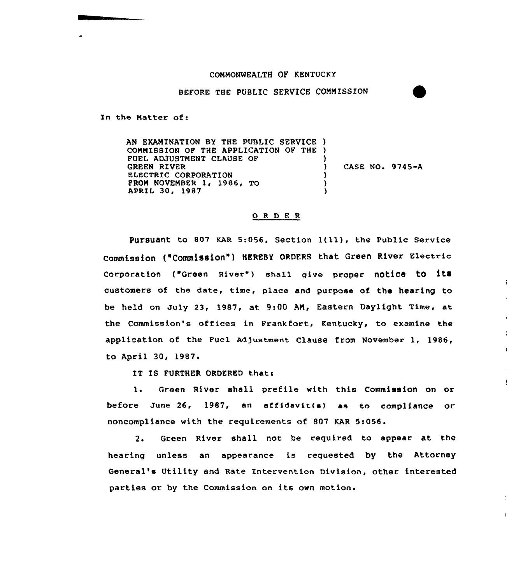## COMMONWEALTH OF KENTUCKY

BEFORE THE PUBLIC SERVICE COMMISSION

In the Hatter of.

AN EXAMINATION BY THE PUBLIC SERVICE ) COMMISSION OF THE APPLICATION OF THE ) FUEL ADJUSTMENT CLAUSE OF GREEN RIVER ELECTRIC CORPORATION PROM NOVEMBER 1, 1986, TO APRIL 30, 1987 ) ) CASE NO. 9745-A ) ) )

## 0 <sup>R</sup> <sup>D</sup> E <sup>R</sup>

pursuant to <sup>807</sup> KAR 5:056, section l(ll), the public service commission ("Commission" ) HEREBY oRDERs that Green River Electric Corporation ("Green River") shall give proper notice to its customers of the date, time, place and purpose of the hearing to be held on July 23, 1987, at 9:00 AM, Eastern Daylight Time, at the Commission's offices in Frankfort, Kentucky, to examine the application of the Fuel Adjustment Clause from November 1, 1986, to April 30, l987.

IT IS FURTHER ORDERED that:

l. Green River shall prefile with this Commission on or before June  $26$ , 1987, an affidavit(s) as to compliance or noncompliance with the requirements of 807 KAR 5s056.

÷

ł

 $\mathbf{I}$ 

2. Green River shall not be required to appear at the hearing unless an appearance is requested by the Attorney General's Utility and Rate Intervention Division, other interested parties or by the Commission on its own motion.